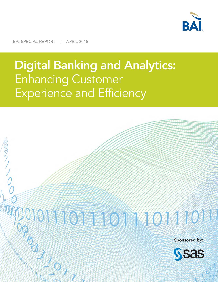

BAI SPECIAL REPORT | APRIL 2015

# **Digital Banking and Analytics: Enhancing Customer Experience and Efficiency**

# 2011011401

**Sponsored by:** 

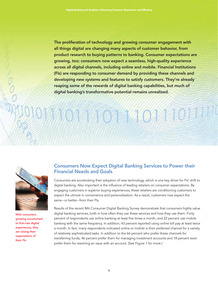The proliferation of technology and growing consumer engagement with all things digital are changing many aspects of customer behavior, from product research to buying patterns to banking. Consumer expectations are growing, too: consumers now expect a seamless, high-quality experience across all digital channels, including online and mobile. Financial Institutions (FIs) are responding to consumer demand by providing these channels and developing new systems and features to satisfy customers. They're already reaping some of the rewards of digital banking capabilities, but much of digital banking's transformative potential remains unrealized.

**TOTAY OX ASSEMBL** 



With consumers growing accustomed to first-rate digital experiences, they are raising their expectations of their FIs.

## Consumers Now Expect Digital Banking Services to Power their Financial Needs and Goals

Consumers are accelerating their adoption of new technology, which is one key driver for FIs' shift to digital banking. Also important is the influence of leading retailers on consumer expectations. By engaging customers in superior buying experiences, these retailers are conditioning customers to expect the utmost in convenience and personalization. As a result, customers now expect the same–or better–from their FIs.

Results of the recent BAI Consumer Digital Banking Survey demonstrate that consumers highly value digital banking services, both in how often they use these services and how they use them. Forty percent of respondents use online banking at least five times a month, and 22 percent use mobile banking with the same frequency. In addition, 43 percent reported using online bill pay at least twice a month. In fact, many respondents indicated online or mobile is their preferred channel for a variety of relatively sophisticated tasks. In addition to the 66 percent who prefer these channels for transferring funds, 46 percent prefer them for managing investment accounts and 18 percent even prefer them for resolving an issue with an account. (See Figure 1 for more.)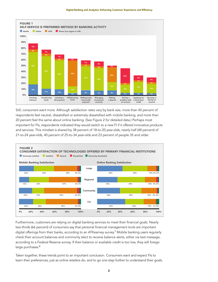

Still, consumers want more. Although satisfaction rates vary by bank size, more than 40 percent of respondents feel neutral, dissatisfied or extremely dissatisfied with mobile banking, and more than 20 percent feel the same about online banking. (See Figure 2 for detailed data.) Perhaps most important for FIs, respondents indicated they would switch to a new FI if it offered innovative products and services. This mindset is shared by 38 percent of 18-to-20 year-olds, nearly half (48 percent) of 21-to-24 year-olds, 40 percent of 25-to-34 year-olds and 23 percent of people 35 and older.



Furthermore, customers are relying on digital banking services to meet their financial goals. Nearly two-thirds (66 percent) of consumers say that personal financial management tools are important digital offerings from their banks, according to an ATKearney survey.**<sup>1</sup>** Mobile banking users regularly check their account balances and commonly elect to receive balance alerts, either via text message, according to a Federal Reserve survey. If their balance or available credit is too low, they will forego large purchases.**<sup>2</sup>**

Taken together, these trends point to an important conclusion. Consumers want and expect FIs to learn their preferences, just as online retailers do, and to go one step further to understand their goals.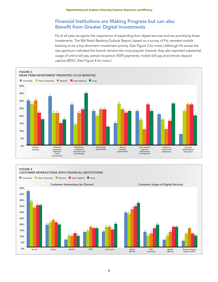### Financial Institutions are Making Progress but can also Benefit from Greater Digital Investments

FIs of all sizes recognize the importance of expanding their digital services and are prioritizing these investments. The BAI Retail Banking Outlook Report, based on a survey of FIs, revealed mobile banking to be a key short-term investment priority. (See Figure 3 for more.) Although FIs across the size spectrum indicated the branch remains the most popular channel, they also reported substantial usage of online bill pay, person-to-person (P2P) payments, mobile bill pay and remote deposit capture (RDC). (See Figure 4 for more.)





**3**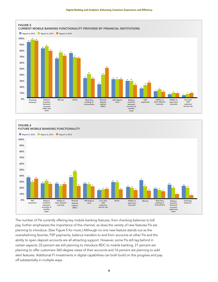



The number of FIs currently offering key mobile banking features, from checking balances to bill pay, further emphasizes the importance of this channel, as does the variety of new features FIs are planning to introduce. (See Figure 5 for more.) Although no one new feature stands out as the overwhelming favorite, P2P payments, balance transfers to and from accounts at other FIs and the ability to open deposit accounts are all attracting support. However, some FIs still lag behind in certain aspects: 22 percent are still planning to introduce RDC to mobile banking, 21 percent are planning to offer customers 360-degree views of their accounts and 16 percent are planning to add alert features. Additional FI investments in digital capabilities can both build on this progress and pay off substantially in multiple ways.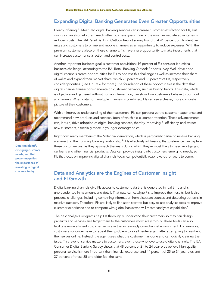### Expanding Digital Banking Generates Even Greater Opportunities

Clearly, offering full-featured digital banking services can increase customer satisfaction for FIs, but doing so can also help them reach other business goals. One of the most immediate advantages is reduced costs. The BAI Retail Banking Outlook Report survey found that 41 percent of FIs identified migrating customers to online and mobile channels as an opportunity to reduce expenses. With the premium customers place on these channels, FIs have a rare opportunity to make investments that can increase customer satisfaction and control costs.

Another important business goal is customer acquisition; 19 percent of FIs consider it a critical business challenge, according to the BAI Retail Banking Outlook Report survey. Well-developed digital channels create opportunities for FIs to address this challenge as well as increase their share of wallet and expand their market share, which 28 percent and 33 percent of FIs, respectively, consider priorities. (See Figure 6 for more.) The foundation of these opportunities is the data that digital channel transactions generate on customer behavior, such as buying habits. This data, which is objective and gathered without human intervention, can show how customers behave throughout all channels. When data from multiple channels is combined, FIs can see a clearer, more complete picture of their customers.

With an improved understanding of their customers, FIs can personalize the customer experience and recommend new products and services, both of which aid customer retention. These advancements can, in turn, drive adoption of digital banking services, thereby improving FI efficiency, and attract new customers, especially those in younger demographics.

Right now, many members of the Millennial generation, which is particularly partial to mobile banking, are selecting their primary banking relationship.**<sup>3</sup>** FIs effectively addressing that preference can capture these customers just as they approach the years during which they're most likely to need mortgages, car loans and other financial products. Data can provide insight into customers' emerging needs, so FIs that focus on improving digital channels today can potentially reap rewards for years to come.

#### Data and Analytics are the Engines of Customer Insight and FI Growth

Digital banking channels give FIs access to customer data that is generated in real-time and is unprecedented in its amount and detail. That data can catalyze FIs to improve their results, but it also presents challenges, including combining information from disparate sources and detecting patterns in massive datasets. Therefore, FIs are likely to find sophisticated but easy-to-use analytics tools to improve customer experience and to compete with global banks who will master analytics capabilities.**<sup>4</sup>**

The best analytics programs help FIs thoroughly understand their customers so they can design products and services and target them to the customers most likely to buy. These tools can also facilitate more efficient customer service in the increasingly omnichannel environment. For example, customers no longer have to repeat their problem to a call center agent after attempting to resolve it themselves online. Instead, the agent sees what the customer has done and can quickly clear up the issue. This level of service matters to customers, even those who love to use digital channels. The BAI Consumer Digital Banking Survey shows that 48 percent of 21-to-24 year-olds believe high-quality personal service is more important than financial expertise, and 44 percent of 25-to-34 year-olds and 37 percent of those 35 and older feel the same.



Data can identify emerging customer needs, and that power magnifies the importance of investing in digital channels today.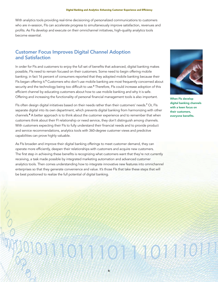With analytics tools providing real-time decisioning of personalized communications to customers who are in-session, FIs can accelerate progress to simultaneously improve satisfaction, revenues and profits. As FIs develop and execute on their omnichannel initiatives, high-quality analytics tools become essential.

#### Customer Focus Improves Digital Channel Adoption and Satisfaction

In order for FIs and customers to enjoy the full set of benefits that advanced, digital banking makes possible, FIs need to remain focused on their customers. Some need to begin offering mobile banking; in fact 16 percent of consumers reported that they adopted mobile banking because their FIs began offering it.**<sup>5</sup>** Customers who don't use mobile banking are most frequently concerned about security and the technology being too difficult to use.**<sup>6</sup>** Therefore, FIs could increase adoption of this efficient channel by educating customers about how to use mobile banking and why it is safe. Offering and increasing the functionality of personal financial management tools is also important.

FIs often design digital initiatives based on their needs rather than their customers' needs.**<sup>7</sup>** Or, FIs separate digital into its own department, which prevents digital banking from harmonizing with other channels.**<sup>8</sup>** A better approach is to think about the customer experience and to remember that when customers think about their FI relationship or need service, they don't distinguish among channels. With customers expecting their FIs to fully understand their financial needs and to provide product and service recommendations, analytics tools with 360-degree customer views and predictive capabilities can prove highly valuable.

As FIs broaden and improve their digital banking offerings to meet customer demand, they can operate more efficiently, deepen their relationships with customers and acquire new customers. The first step in achieving these benefits is recognizing what customers want that they're not currently receiving, a task made possible by integrated marketing automation and advanced customer analytics tools. Then comes understanding how to integrate innovative new features into omnichannel enterprises so that they generate convenience and value. It's those FIs that take these steps that will be best positioned to realize the full potential of digital banking.



When FIs develop digital banking channels with a keen focus on their customers, everyone benefits.

# 31 101 1402 34